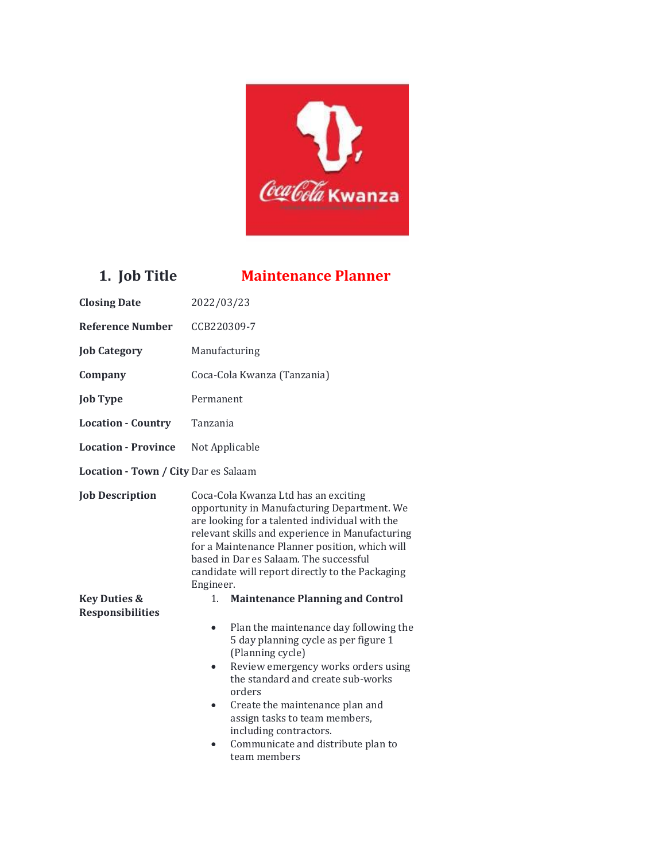

## **1. Job Title Maintenance Planner**

| <b>Closing Date</b>                  | 2022/03/23                                                                                                                                                                                                                                                                                                                                                                          |  |
|--------------------------------------|-------------------------------------------------------------------------------------------------------------------------------------------------------------------------------------------------------------------------------------------------------------------------------------------------------------------------------------------------------------------------------------|--|
| <b>Reference Number</b>              | CCB220309-7                                                                                                                                                                                                                                                                                                                                                                         |  |
| <b>Job Category</b>                  | Manufacturing                                                                                                                                                                                                                                                                                                                                                                       |  |
| Company                              | Coca-Cola Kwanza (Tanzania)                                                                                                                                                                                                                                                                                                                                                         |  |
| <b>Job Type</b>                      | Permanent                                                                                                                                                                                                                                                                                                                                                                           |  |
| <b>Location - Country</b>            | Tanzania                                                                                                                                                                                                                                                                                                                                                                            |  |
| <b>Location - Province</b>           | Not Applicable                                                                                                                                                                                                                                                                                                                                                                      |  |
| Location - Town / City Dar es Salaam |                                                                                                                                                                                                                                                                                                                                                                                     |  |
| <b>Job Description</b>               | Coca-Cola Kwanza Ltd has an exciting<br>opportunity in Manufacturing Department. We<br>are looking for a talented individual with the<br>relevant skills and experience in Manufacturing<br>for a Maintenance Planner position, which will<br>based in Dar es Salaam. The successful<br>candidate will report directly to the Packaging<br>Engineer.                                |  |
| <b>Key Duties &amp;</b>              | <b>Maintenance Planning and Control</b><br>1.                                                                                                                                                                                                                                                                                                                                       |  |
| <b>Responsibilities</b>              | Plan the maintenance day following the<br>$\bullet$<br>5 day planning cycle as per figure 1<br>(Planning cycle)<br>Review emergency works orders using<br>$\bullet$<br>the standard and create sub-works<br>orders<br>Create the maintenance plan and<br>$\bullet$<br>assign tasks to team members,<br>including contractors.<br>Communicate and distribute plan to<br>team members |  |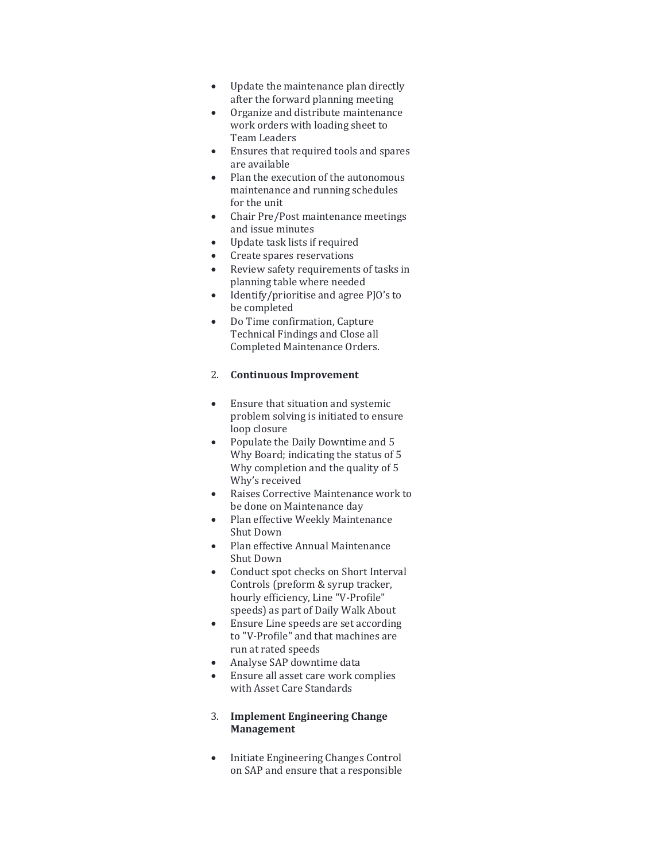- Update the maintenance plan directly after the forward planning meeting
- Organize and distribute maintenance work orders with loading sheet to Team Leaders
- Ensures that required tools and spares are available
- Plan the execution of the autonomous maintenance and running schedules for the unit
- Chair Pre/Post maintenance meetings and issue minutes
- Update task lists if required
- Create spares reservations
- Review safety requirements of tasks in planning table where needed
- Identify/prioritise and agree PJO's to be completed
- Do Time confirmation, Capture Technical Findings and Close all Completed Maintenance Orders.

#### 2. **Continuous Improvement**

- Ensure that situation and systemic problem solving is initiated to ensure loop closure
- Populate the Daily Downtime and 5 Why Board; indicating the status of 5 Why completion and the quality of 5 Why's received
- Raises Corrective Maintenance work to be done on Maintenance day
- Plan effective Weekly Maintenance Shut Down
- Plan effective Annual Maintenance Shut Down
- Conduct spot checks on Short Interval Controls (preform & syrup tracker, hourly efficiency, Line "V-Profile" speeds) as part of Daily Walk About
- Ensure Line speeds are set according to "V-Profile" and that machines are run at rated speeds
- Analyse SAP downtime data
- Ensure all asset care work complies with Asset Care Standards

#### 3. **Implement Engineering Change Management**

• Initiate Engineering Changes Control on SAP and ensure that a responsible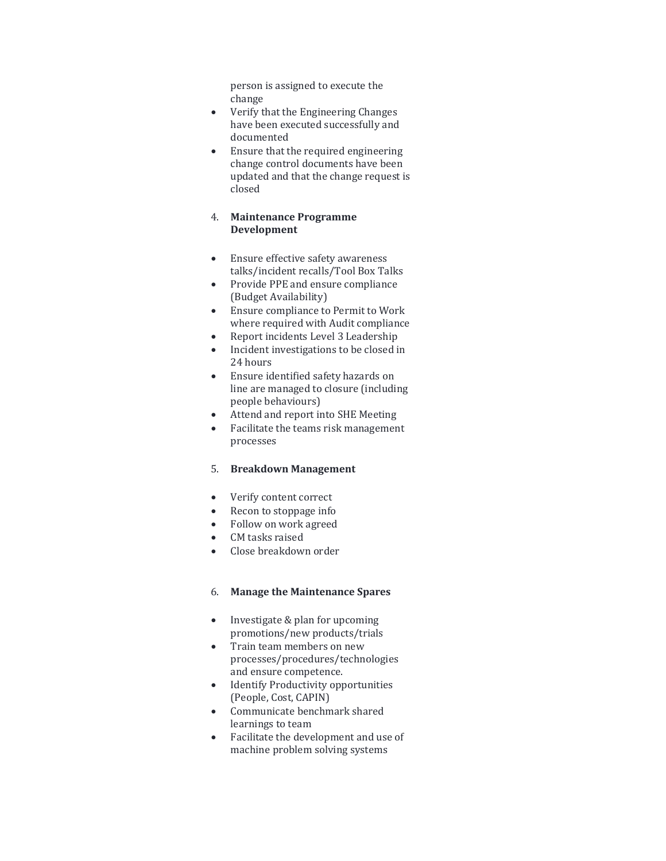person is assigned to execute the change

- Verify that the Engineering Changes have been executed successfully and documented
- Ensure that the required engineering change control documents have been updated and that the change request is closed

#### 4. **Maintenance Programme Development**

- Ensure effective safety awareness talks/incident recalls/Tool Box Talks
- Provide PPE and ensure compliance (Budget Availability)
- Ensure compliance to Permit to Work where required with Audit compliance
- Report incidents Level 3 Leadership
- Incident investigations to be closed in 24 hours
- Ensure identified safety hazards on line are managed to closure (including people behaviours)
- Attend and report into SHE Meeting
- Facilitate the teams risk management processes

### 5. **Breakdown Management**

- Verify content correct
- Recon to stoppage info
- Follow on work agreed
- CM tasks raised
- Close breakdown order

#### 6. **Manage the Maintenance Spares**

- Investigate & plan for upcoming promotions/new products/trials
- Train team members on new processes/procedures/technologies and ensure competence.
- Identify Productivity opportunities (People, Cost, CAPIN)
- Communicate benchmark shared learnings to team
- Facilitate the development and use of machine problem solving systems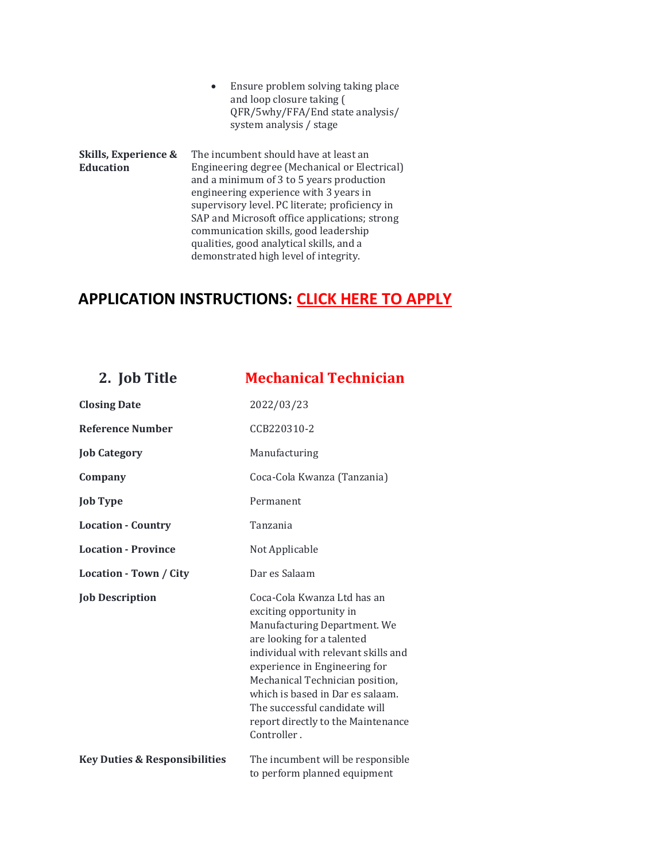• Ensure problem solving taking place and loop closure taking ( QFR/5why/FFA/End state analysis/ system analysis / stage

**Skills, Experience & Education** The incumbent should have at least an Engineering degree (Mechanical or Electrical) and a minimum of 3 to 5 years production engineering experience with 3 years in supervisory level. PC literate; proficiency in SAP and Microsoft office applications; strong communication skills, good leadership qualities, good analytical skills, and a demonstrated high level of integrity.

### **APPLICATION INSTRUCTIONS: [CLICK HERE TO APPLY](https://ccba.erecruit.co/candidateapp/Jobs/View/CCB220309-7)**

| 2. Job Title                             | <b>Mechanical Technician</b>                                                                                                                                                                                                                                                                                                                              |
|------------------------------------------|-----------------------------------------------------------------------------------------------------------------------------------------------------------------------------------------------------------------------------------------------------------------------------------------------------------------------------------------------------------|
| <b>Closing Date</b>                      | 2022/03/23                                                                                                                                                                                                                                                                                                                                                |
| <b>Reference Number</b>                  | CCB220310-2                                                                                                                                                                                                                                                                                                                                               |
| <b>Job Category</b>                      | Manufacturing                                                                                                                                                                                                                                                                                                                                             |
| Company                                  | Coca-Cola Kwanza (Tanzania)                                                                                                                                                                                                                                                                                                                               |
| <b>Job Type</b>                          | Permanent                                                                                                                                                                                                                                                                                                                                                 |
| <b>Location - Country</b>                | Tanzania                                                                                                                                                                                                                                                                                                                                                  |
| <b>Location - Province</b>               | Not Applicable                                                                                                                                                                                                                                                                                                                                            |
| Location - Town / City                   | Dar es Salaam                                                                                                                                                                                                                                                                                                                                             |
| <b>Job Description</b>                   | Coca-Cola Kwanza Ltd has an<br>exciting opportunity in<br>Manufacturing Department. We<br>are looking for a talented<br>individual with relevant skills and<br>experience in Engineering for<br>Mechanical Technician position,<br>which is based in Dar es salaam.<br>The successful candidate will<br>report directly to the Maintenance<br>Controller. |
| <b>Key Duties &amp; Responsibilities</b> | The incumbent will be responsible<br>to perform planned equipment                                                                                                                                                                                                                                                                                         |